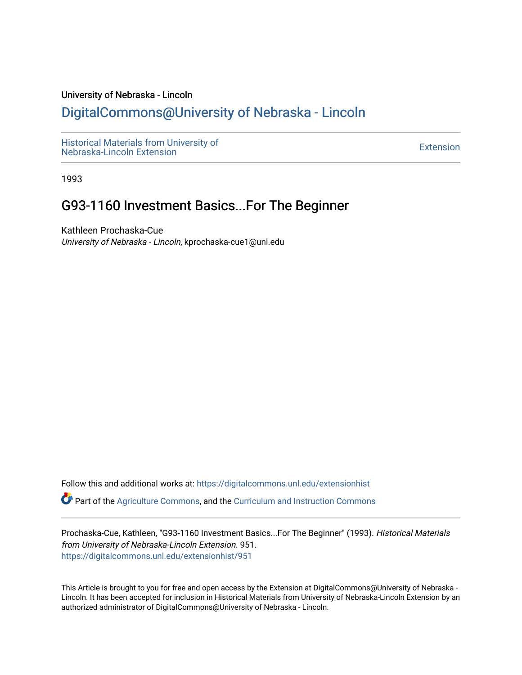#### University of Nebraska - Lincoln

# [DigitalCommons@University of Nebraska - Lincoln](https://digitalcommons.unl.edu/)

[Historical Materials from University of](https://digitalcommons.unl.edu/extensionhist)  nistorical Materials from Oniversity of the control of the control of the [Extension](https://digitalcommons.unl.edu/coop_extension) Extension extension of the<br>Nebraska-Lincoln Extension

1993

# G93-1160 Investment Basics...For The Beginner

Kathleen Prochaska-Cue University of Nebraska - Lincoln, kprochaska-cue1@unl.edu

Follow this and additional works at: [https://digitalcommons.unl.edu/extensionhist](https://digitalcommons.unl.edu/extensionhist?utm_source=digitalcommons.unl.edu%2Fextensionhist%2F951&utm_medium=PDF&utm_campaign=PDFCoverPages) 

Part of the [Agriculture Commons](http://network.bepress.com/hgg/discipline/1076?utm_source=digitalcommons.unl.edu%2Fextensionhist%2F951&utm_medium=PDF&utm_campaign=PDFCoverPages), and the [Curriculum and Instruction Commons](http://network.bepress.com/hgg/discipline/786?utm_source=digitalcommons.unl.edu%2Fextensionhist%2F951&utm_medium=PDF&utm_campaign=PDFCoverPages) 

Prochaska-Cue, Kathleen, "G93-1160 Investment Basics...For The Beginner" (1993). Historical Materials from University of Nebraska-Lincoln Extension. 951. [https://digitalcommons.unl.edu/extensionhist/951](https://digitalcommons.unl.edu/extensionhist/951?utm_source=digitalcommons.unl.edu%2Fextensionhist%2F951&utm_medium=PDF&utm_campaign=PDFCoverPages) 

This Article is brought to you for free and open access by the Extension at DigitalCommons@University of Nebraska - Lincoln. It has been accepted for inclusion in Historical Materials from University of Nebraska-Lincoln Extension by an authorized administrator of DigitalCommons@University of Nebraska - Lincoln.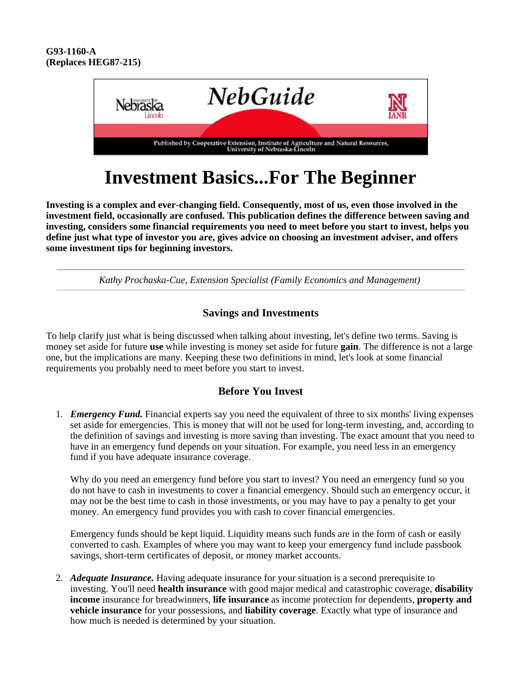

# **Investment Basics...For The Beginner**

**Investing is a complex and ever-changing field. Consequently, most of us, even those involved in the investment field, occasionally are confused. This publication defines the difference between saving and investing, considers some financial requirements you need to meet before you start to invest, helps you define just what type of investor you are, gives advice on choosing an investment adviser, and offers some investment tips for beginning investors.**

*Kathy Prochaska-Cue, Extension Specialist (Family Economics and Management)* 

### **Savings and Investments**

To help clarify just what is being discussed when talking about investing, let's define two terms. Saving is money set aside for future **use** while investing is money set aside for future **gain**. The difference is not a large one, but the implications are many. Keeping these two definitions in mind, let's look at some financial requirements you probably need to meet before you start to invest.

#### **Before You Invest**

1. *Emergency Fund.* Financial experts say you need the equivalent of three to six months' living expenses set aside for emergencies. This is money that will not be used for long-term investing, and, according to the definition of savings and investing is more saving than investing. The exact amount that you need to have in an emergency fund depends on your situation. For example, you need less in an emergency fund if you have adequate insurance coverage.

Why do you need an emergency fund before you start to invest? You need an emergency fund so you do not have to cash in investments to cover a financial emergency. Should such an emergency occur, it may not be the best time to cash in those investments, or you may have to pay a penalty to get your money. An emergency fund provides you with cash to cover financial emergencies.

Emergency funds should be kept liquid. Liquidity means such funds are in the form of cash or easily converted to cash. Examples of where you may want to keep your emergency fund include passbook savings, short-term certificates of deposit, or money market accounts.

2. *Adequate Insurance.* Having adequate insurance for your situation is a second prerequisite to investing. You'll need **health insurance** with good major medical and catastrophic coverage, **disability income** insurance for breadwinners, **life insurance** as income protection for dependents, **property and vehicle insurance** for your possessions, and **liability coverage**. Exactly what type of insurance and how much is needed is determined by your situation.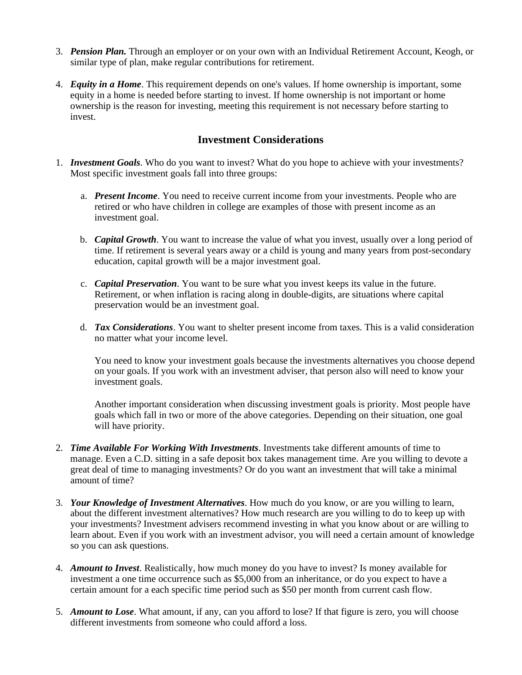- 3. *Pension Plan.* Through an employer or on your own with an Individual Retirement Account, Keogh, or similar type of plan, make regular contributions for retirement.
- 4. *Equity in a Home*. This requirement depends on one's values. If home ownership is important, some equity in a home is needed before starting to invest. If home ownership is not important or home ownership is the reason for investing, meeting this requirement is not necessary before starting to invest.

#### **Investment Considerations**

- 1. *Investment Goals*. Who do you want to invest? What do you hope to achieve with your investments? Most specific investment goals fall into three groups:
	- a. *Present Income*. You need to receive current income from your investments. People who are retired or who have children in college are examples of those with present income as an investment goal.
	- b. *Capital Growth*. You want to increase the value of what you invest, usually over a long period of time. If retirement is several years away or a child is young and many years from post-secondary education, capital growth will be a major investment goal.
	- c. *Capital Preservation*. You want to be sure what you invest keeps its value in the future. Retirement, or when inflation is racing along in double-digits, are situations where capital preservation would be an investment goal.
	- d. *Tax Considerations*. You want to shelter present income from taxes. This is a valid consideration no matter what your income level.

You need to know your investment goals because the investments alternatives you choose depend on your goals. If you work with an investment adviser, that person also will need to know your investment goals.

Another important consideration when discussing investment goals is priority. Most people have goals which fall in two or more of the above categories. Depending on their situation, one goal will have priority.

- 2. *Time Available For Working With Investments*. Investments take different amounts of time to manage. Even a C.D. sitting in a safe deposit box takes management time. Are you willing to devote a great deal of time to managing investments? Or do you want an investment that will take a minimal amount of time?
- 3. *Your Knowledge of Investment Alternatives*. How much do you know, or are you willing to learn, about the different investment alternatives? How much research are you willing to do to keep up with your investments? Investment advisers recommend investing in what you know about or are willing to learn about. Even if you work with an investment advisor, you will need a certain amount of knowledge so you can ask questions.
- 4. *Amount to Invest*. Realistically, how much money do you have to invest? Is money available for investment a one time occurrence such as \$5,000 from an inheritance, or do you expect to have a certain amount for a each specific time period such as \$50 per month from current cash flow.
- 5. *Amount to Lose*. What amount, if any, can you afford to lose? If that figure is zero, you will choose different investments from someone who could afford a loss.